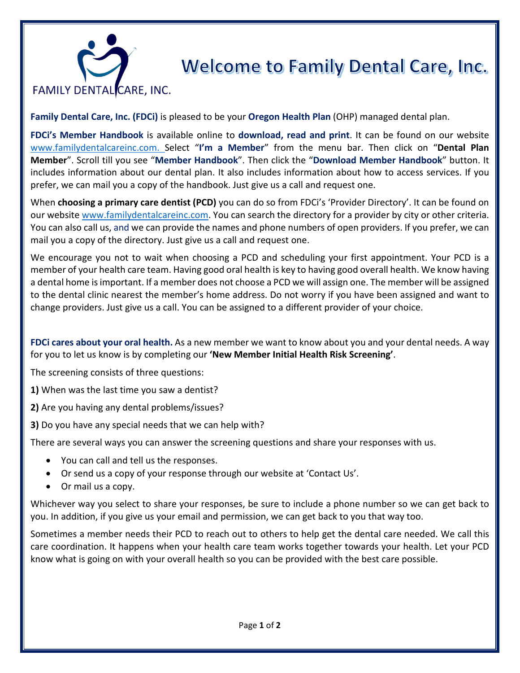## **FAMILY DENTAL CARE, INC.**

## **Welcome to Family Dental Care, Inc.**

**Family Dental Care, Inc. (FDCi)** is pleased to be your **Oregon Health Plan** (OHP) managed dental plan.

**FDCi's Member Handbook** is available online to **download, read and print**. It can be found on our website [www.familydentalcareinc.com.](http://www.familydentalcareinc.com/) Select "**I'm a Member**" from the menu bar. Then click on "**Dental Plan Member**". Scroll till you see "**Member Handbook**". Then click the "**Download Member Handbook**" button. It includes information about our dental plan. It also includes information about how to access services. If you prefer, we can mail you a copy of the handbook. Just give us a call and request one.

When **choosing a primary care dentist (PCD)** you can do so from FDCi's 'Provider Directory'. It can be found on our website [www.familydentalcareinc.com.](http://www.familydentalcareinc.com/) You can search the directory for a provider by city or other criteria. You can also call us, and we can provide the names and phone numbers of open providers. If you prefer, we can mail you a copy of the directory. Just give us a call and request one.

We encourage you not to wait when choosing a PCD and scheduling your first appointment. Your PCD is a member of your health care team. Having good oral health is key to having good overall health. We know having a dental home is important. If a member does not choose a PCD we will assign one. The member will be assigned to the dental clinic nearest the member's home address. Do not worry if you have been assigned and want to change providers. Just give us a call. You can be assigned to a different provider of your choice.

**FDCi cares about your oral health.** As a new member we want to know about you and your dental needs. A way for you to let us know is by completing our **'New Member Initial Health Risk Screening'**.

The screening consists of three questions:

- **1)** When was the last time you saw a dentist?
- **2)** Are you having any dental problems/issues?
- **3)** Do you have any special needs that we can help with?

There are several ways you can answer the screening questions and share your responses with us.

- You can call and tell us the responses.
- Or send us a copy of your response through our website at 'Contact Us'.
- Or mail us a copy.

Whichever way you select to share your responses, be sure to include a phone number so we can get back to you. In addition, if you give us your email and permission, we can get back to you that way too.

Sometimes a member needs their PCD to reach out to others to help get the dental care needed. We call this care coordination. It happens when your health care team works together towards your health. Let your PCD know what is going on with your overall health so you can be provided with the best care possible.